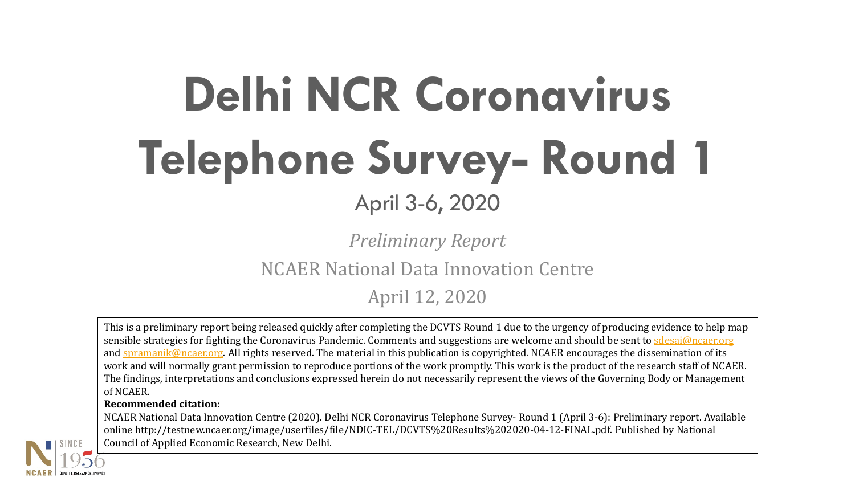# **Delhi NCR Coronavirus Telephone Survey- Round 1** April 3-6, 2020

*Preliminary Report*

NCAER National Data Innovation Centre

April 12, 2020

This is a preliminary report being released quickly after completing the DCVTS Round 1 due to the urgency of producing evidence to help map sensible strategies for fighting the Coronavirus Pandemic. Comments and suggestions are welcome and should be sent to [sdesai@ncaer.org](mailto:sdesai@ncaer.org) and [spramanik@ncaer.org.](mailto:spramanik@ncaer.org) All rights reserved. The material in this publication is copyrighted. NCAER encourages the dissemination of its work and will normally grant permission to reproduce portions of the work promptly. This work is the product of the research staff of NCAER. The findings, interpretations and conclusions expressed herein do not necessarily represent the views of the Governing Body or Management of NCAER.

#### **Recommended citation:**

NCAER National Data Innovation Centre (2020). Delhi NCR Coronavirus Telephone Survey- Round 1 (April 3-6): Preliminary report. Available online http://testnew.ncaer.org/image/userfiles/file/NDIC-TEL/DCVTS%20Results%202020-04-12-FINAL.pdf. Published by National Council of Applied Economic Research, New Delhi.

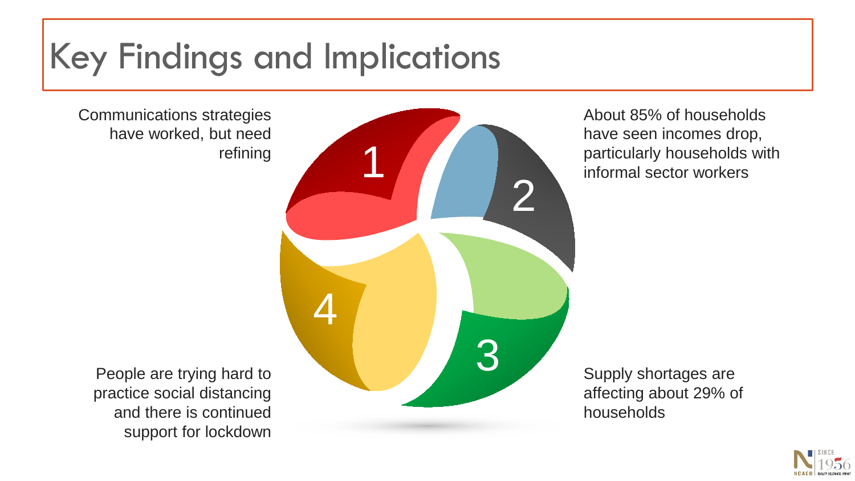### Key Findings and Implications

Communications strategies have worked, but need refining

About 85% of households have seen incomes drop, particularly households with informal sector workers

Supply shortages are affecting about 29% of households



People are trying hard to practice social distancing and there is continued support for lockdown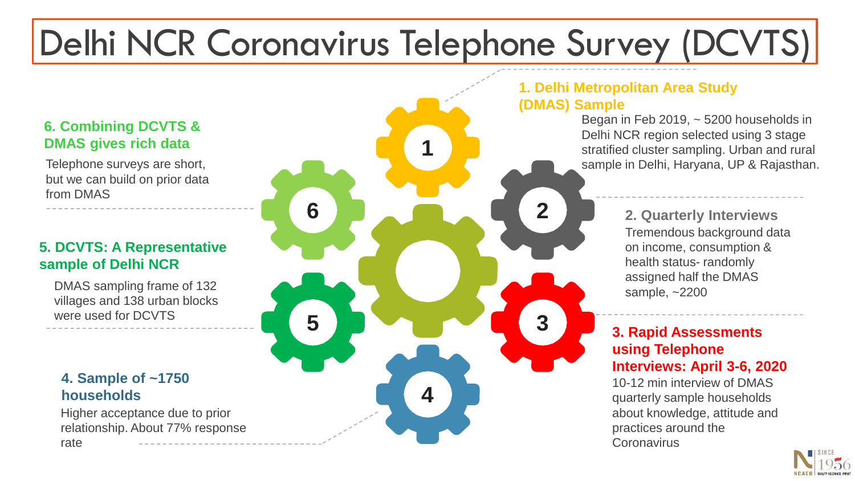# Delhi NCR Coronavirus Telephone Survey (DCVTS)

#### **6. Combining DCVTS & DMAS gives rich data 1**

Telephone surveys are short, but we can build on prior data from DMAS

#### **5. DCVTS: A Representative sample of Delhi NCR**

DMAS sampling frame of 132 villages and 138 urban blocks were used for DCVTS

#### **4. Sample of ~1750 households**

Higher acceptance due to prior relationship. About 77% response



### **1. Delhi Metropolitan Area Study**

Began in Feb 2019, ~ 5200 households in Delhi NCR region selected using 3 stage stratified cluster sampling. Urban and rural sample in Delhi, Haryana, UP & Rajasthan.

> Tremendous background data on income, consumption & health status- randomly assigned half the DMAS sample, ~2200 **2. Quarterly Interviews**

#### **3. Rapid Assessments using Telephone Interviews: April 3-6, 2020**

10-12 min interview of DMAS quarterly sample households about knowledge, attitude and practices around the **Coronavirus** 

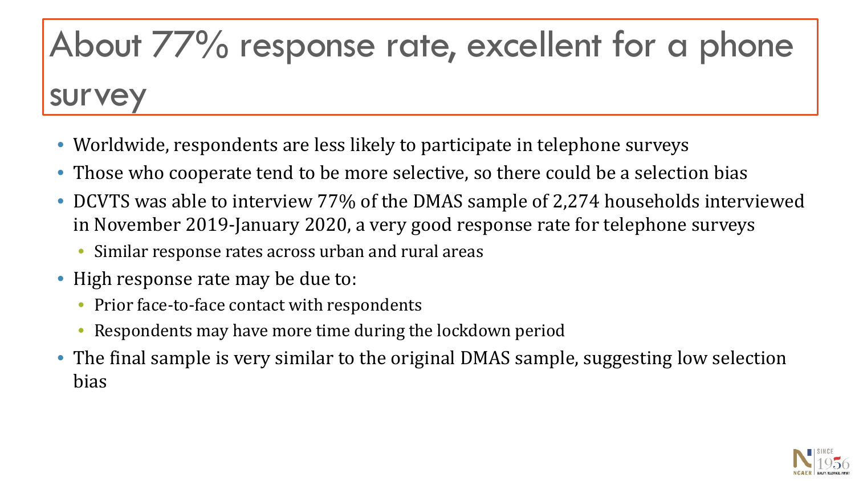## About 77% response rate, excellent for a phone

## survey

- Worldwide, respondents are less likely to participate in telephone surveys
- Those who cooperate tend to be more selective, so there could be a selection bias
- DCVTS was able to interview 77% of the DMAS sample of 2,274 households interviewed in November 2019-January 2020, a very good response rate for telephone surveys
	- Similar response rates across urban and rural areas
- High response rate may be due to:
	- Prior face-to-face contact with respondents
	- Respondents may have more time during the lockdown period
- The final sample is very similar to the original DMAS sample, suggesting low selection bias

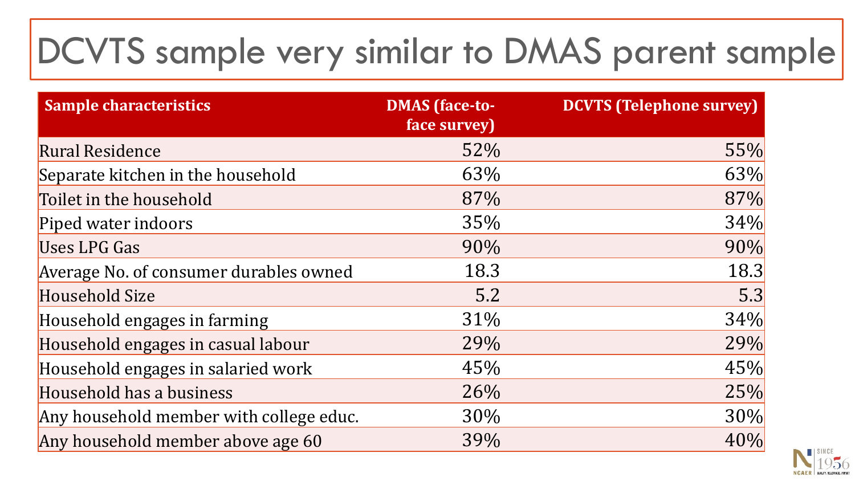## DCVTS sample very similar to DMAS parent sample

| <b>Sample characteristics</b>           | <b>DMAS</b> (face-to-<br>face survey) | <b>DCVTS (Telephone survey)</b> |
|-----------------------------------------|---------------------------------------|---------------------------------|
| <b>Rural Residence</b>                  | 52%                                   | 55%                             |
| Separate kitchen in the household       | 63%                                   | 63%                             |
| Toilet in the household                 | 87%                                   | 87%                             |
| Piped water indoors                     | 35%                                   | 34%                             |
| <b>Uses LPG Gas</b>                     | 90%                                   | 90%                             |
| Average No. of consumer durables owned  | 18.3                                  | 18.3                            |
| <b>Household Size</b>                   | 5.2                                   | 5.3                             |
| Household engages in farming            | 31%                                   | 34%                             |
| Household engages in casual labour      | 29%                                   | 29%                             |
| Household engages in salaried work      | 45%                                   | 45%                             |
| Household has a business                | 26%                                   | 25%                             |
| Any household member with college educ. | 30%                                   | 30%                             |
| Any household member above age 60       | 39%                                   | 40%                             |

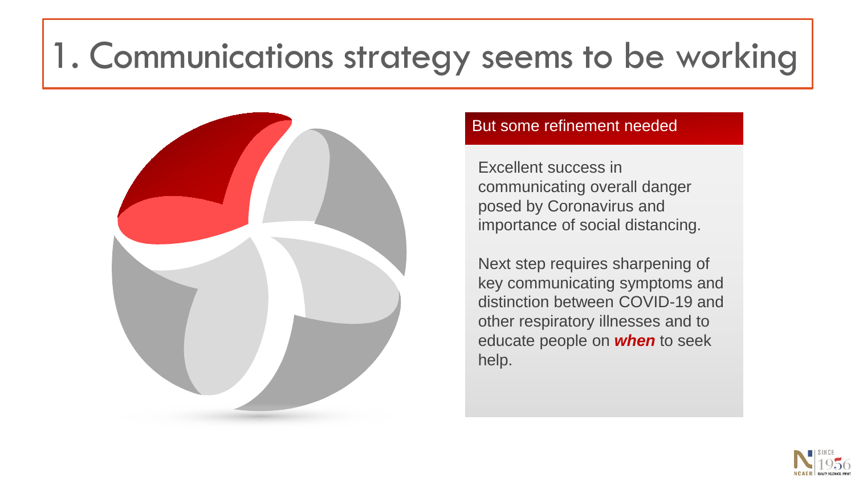### 1. Communications strategy seems to be working



#### But some refinement needed

Excellent success in communicating overall danger posed by Coronavirus and importance of social distancing.

Next step requires sharpening of key communicating symptoms and distinction between COVID-19 and other respiratory illnesses and to educate people on *when* to seek help.

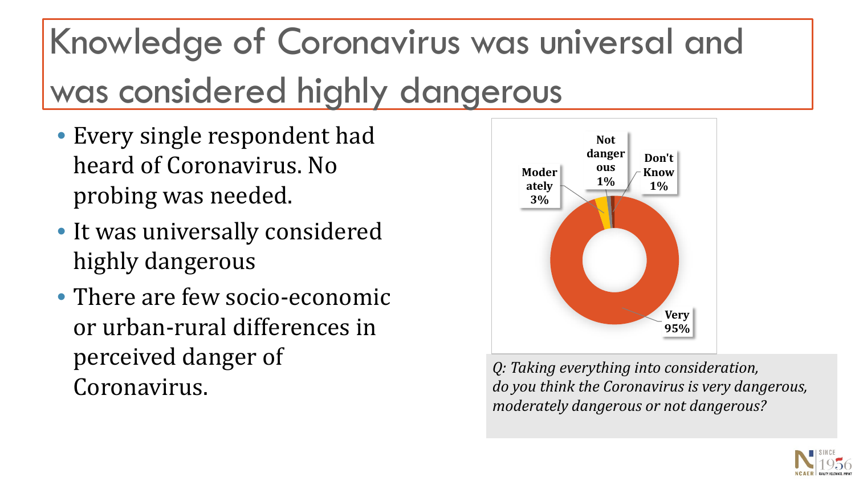# Knowledge of Coronavirus was universal and was considered highly dangerous

- Every single respondent had heard of Coronavirus. No probing was needed.
- It was universally considered highly dangerous
- There are few socio-economic or urban-rural differences in perceived danger of Coronavirus.



*Q: Taking everything into consideration, do you think the Coronavirus is very dangerous, moderately dangerous or not dangerous?* 

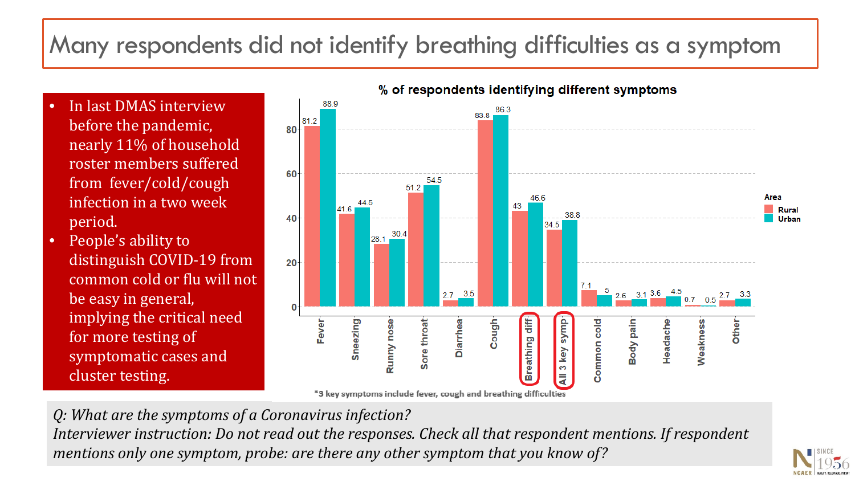#### Many respondents did not identify breathing difficulties as a symptom

- In last DMAS interview before the pandemic, nearly 11% of household roster members suffered from fever/cold/cough infection in a two week period.
- People's ability to distinguish COVID-19 from common cold or flu will not be easy in general, implying the critical need for more testing of symptomatic cases and cluster testing.



\*3 key symptoms include fever, cough and breathing difficulties

*Q: What are the symptoms of a Coronavirus infection? Interviewer instruction: Do not read out the responses. Check all that respondent mentions. If respondent mentions only one symptom, probe: are there any other symptom that you know of?*

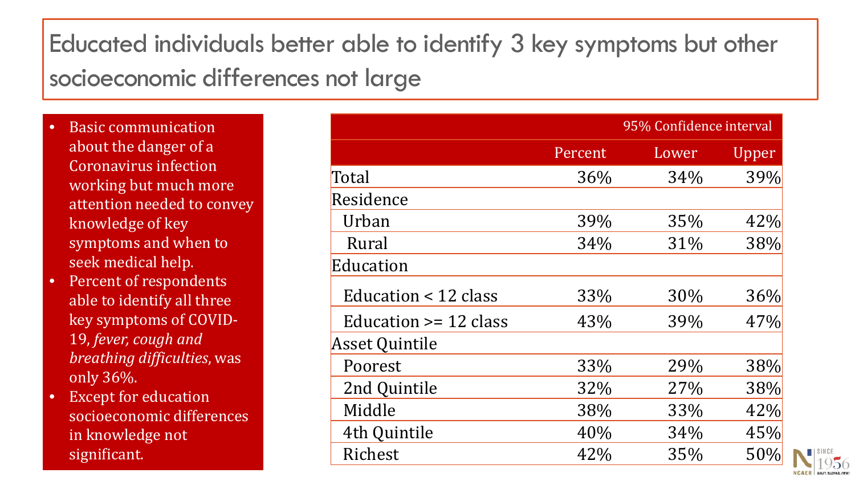#### Educated individuals better able to identify 3 key symptoms but other socioeconomic differences not large

- Basic communication about the danger of a Coronavirus infection working but much more attention needed to convey knowledge of key symptoms and when to seek medical help.
- Percent of respondents able to identify all three key symptoms of COVID-19, *fever, cough and breathing difficulties*, was only 36%.
- Except for education socioeconomic differences in knowledge not significant.

|                            |         | 95% Confidence interval |       |  |
|----------------------------|---------|-------------------------|-------|--|
|                            | Percent | Lower                   | Upper |  |
| Total                      | 36%     | 34%                     | 39%   |  |
| Residence                  |         |                         |       |  |
| Urban                      | 39%     | 35%                     | 42%   |  |
| Rural                      | 34%     | 31%                     | 38%   |  |
| Education                  |         |                         |       |  |
| Education < 12 class       | 33%     | 30%                     | 36%   |  |
| Education $\ge$ = 12 class | 43%     | 39%                     | 47%   |  |
| <b>Asset Quintile</b>      |         |                         |       |  |
| Poorest                    | 33%     | 29%                     | 38%   |  |
| 2nd Quintile               | 32%     | 27%                     | 38%   |  |
| Middle                     | 38%     | 33%                     | 42%   |  |
| 4th Quintile               | 40%     | 34%                     | 45%   |  |
| Richest                    | 42%     | 35%                     | 50%   |  |

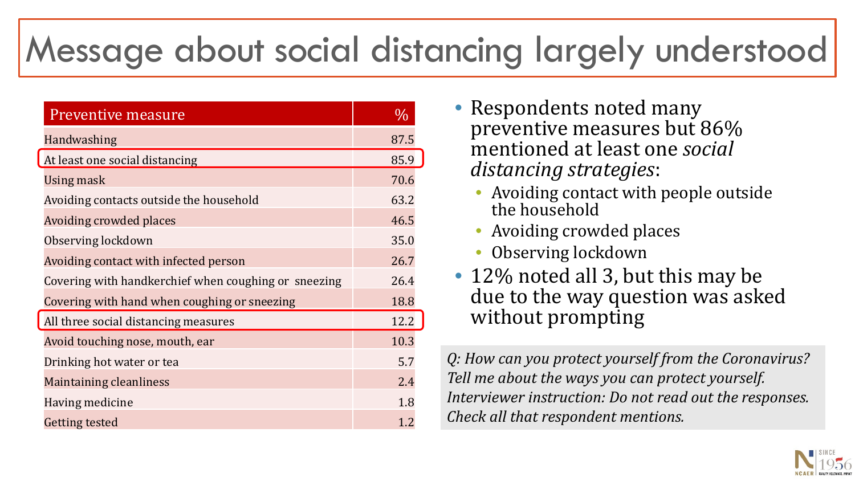### Message about social distancing largely understood

| <b>Preventive measure</b>                            | $\frac{0}{0}$ |
|------------------------------------------------------|---------------|
| Handwashing                                          | 87.5          |
| At least one social distancing                       | 85.9          |
| Using mask                                           | 70.6          |
| Avoiding contacts outside the household              | 63.2          |
| <b>Avoiding crowded places</b>                       | 46.5          |
| Observing lockdown                                   | 35.0          |
| Avoiding contact with infected person                | 26.7          |
| Covering with handkerchief when coughing or sneezing | 26.4          |
| Covering with hand when coughing or sneezing         | 18.8          |
| All three social distancing measures                 | 12.2          |
| Avoid touching nose, mouth, ear                      | 10.3          |
| Drinking hot water or tea                            | 5.7           |
| <b>Maintaining cleanliness</b>                       | 2.4           |
| Having medicine                                      | 1.8           |
| <b>Getting tested</b>                                | 1.2           |

- Respondents noted many preventive measures but 86% mentioned at least one *social distancing strategies*:
	- Avoiding contact with people outside the household
	- Avoiding crowded places
	- Observing lockdown
- 12% noted all 3, but this may be due to the way question was asked without prompting

*Q: How can you protect yourself from the Coronavirus? Tell me about the ways you can protect yourself. Interviewer instruction: Do not read out the responses. Check all that respondent mentions.* 

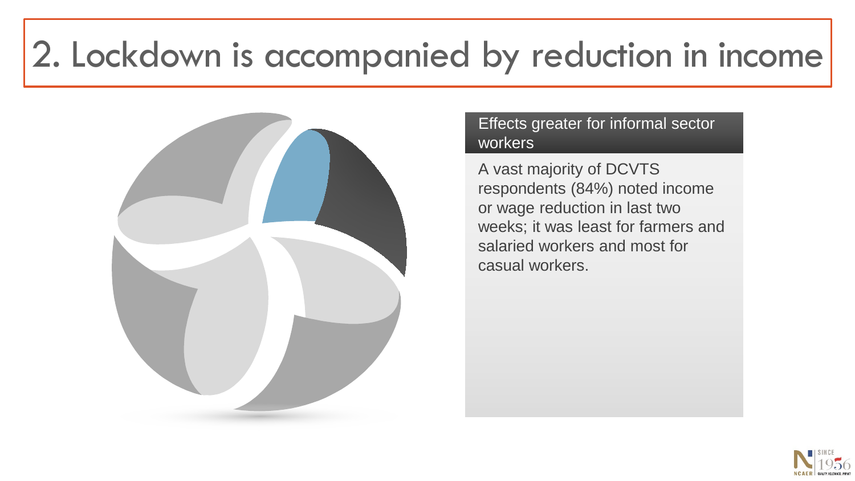### 2. Lockdown is accompanied by reduction in income



#### Effects greater for informal sector workers

A vast majority of DCVTS respondents (84%) noted income or wage reduction in last two weeks; it was least for farmers and salaried workers and most for casual workers.

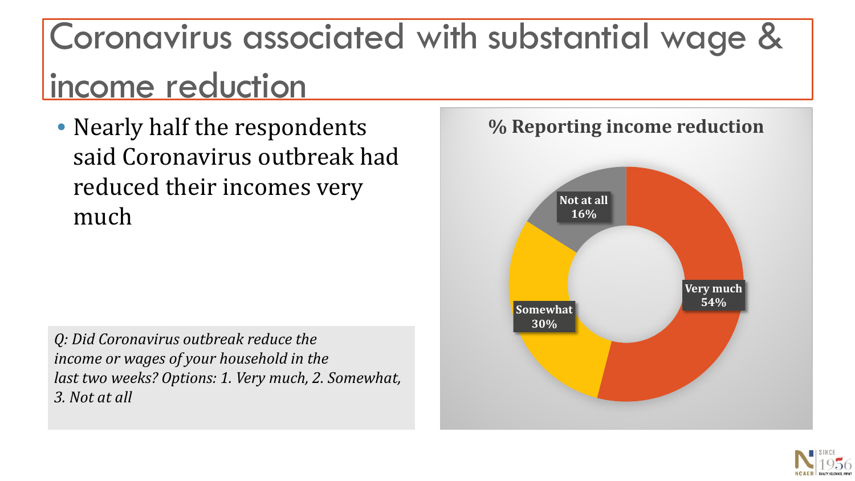## Coronavirus associated with substantial wage & income reduction

• Nearly half the respondents said Coronavirus outbreak had reduced their incomes very much

*Q: Did Coronavirus outbreak reduce the income or wages of your household in the last two weeks? Options: 1. Very much, 2. Somewhat, 3. Not at all* 



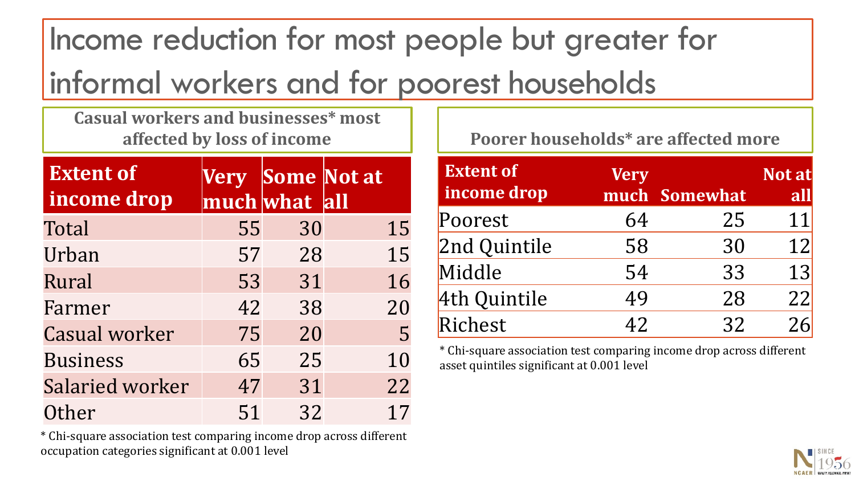Income reduction for most people but greater for informal workers and for poorest households

**Casual workers and businesses\* most affected by loss of income**

| <b>Extent of</b><br>income drop |    | much what all | Very Some Not at |
|---------------------------------|----|---------------|------------------|
| Total                           | 55 | 30            | 15               |
| Urban                           | 57 | 28            | 15               |
| Rural                           | 53 | 31            | 16               |
| Farmer                          | 42 | 38            | 20               |
| <b>Casual worker</b>            | 75 | 20            | 5                |
| <b>Business</b>                 | 65 | 25            | 10               |
| <b>Salaried worker</b>          | 47 | 31            | 22               |
| Other                           | 51 | 32            | 17               |

\* Chi-square association test comparing income drop across different occupation categories significant at 0.001 level

**Poorer households\* are affected more**

| <b>Extent of</b><br>income drop | <b>Very</b> | much Somewhat | Not at<br>all |
|---------------------------------|-------------|---------------|---------------|
| Poorest                         | 64          | 25            | 11            |
| 2nd Quintile                    | 58          | 30            | 12            |
| Middle                          | 54          | 33            | 13            |
| 4th Quintile                    | 49          | 28            | 22            |
| Richest                         | 42          | 32            | 26            |

\* Chi-square association test comparing income drop across different asset quintiles significant at 0.001 level

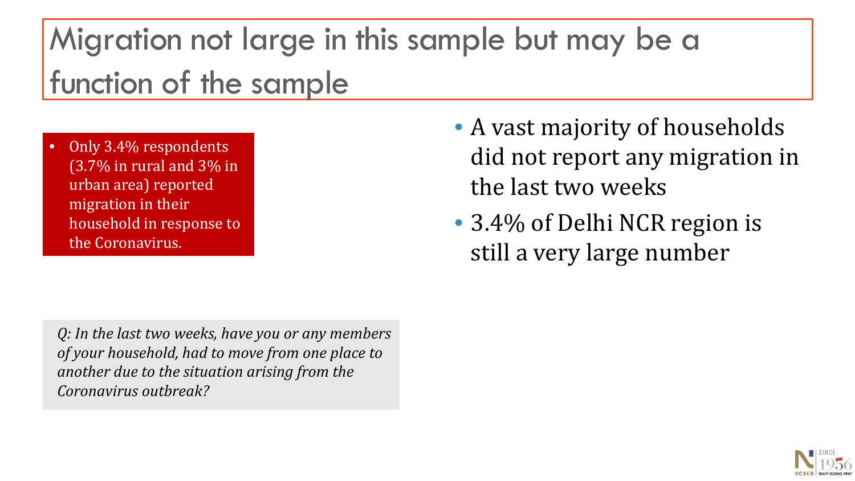### Migration not large in this sample but may be a function of the sample

• Only 3.4% respondents (3.7% in rural and 3% in urban area) reported migration in their household in response to the Coronavirus.

*Q: In the last two weeks, have you or any members of your household, had to move from one place to another due to the situation arising from the Coronavirus outbreak?* 

- A vast majority of households did not report any migration in the last two weeks
- 3.4% of Delhi NCR region is still a very large number

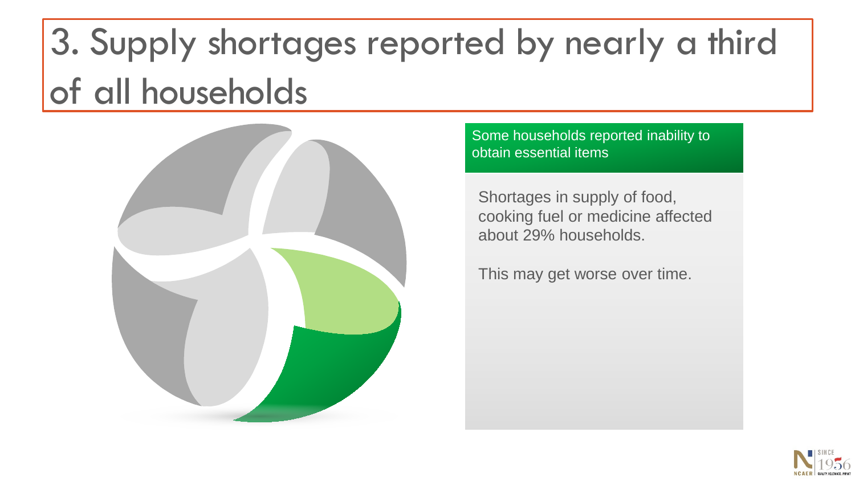# 3. Supply shortages reported by nearly a third of all households



Some households reported inability to obtain essential items

Shortages in supply of food, cooking fuel or medicine affected about 29% households.

This may get worse over time.

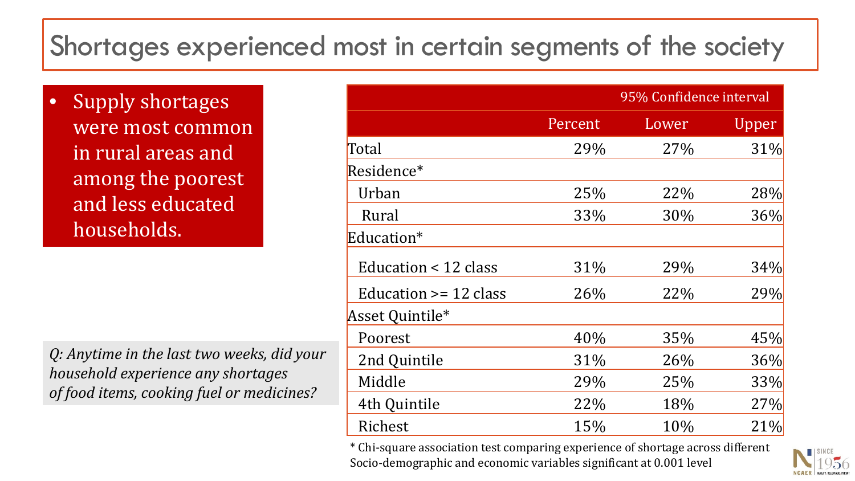#### Shortages experienced most in certain segments of the society

• Supply shortages were most common in rural areas and among the poorest and less educated households.

*Q: Anytime in the last two weeks, did your household experience any shortages of food items, cooking fuel or medicines?*

|                           |         | 95% Confidence interval |       |  |
|---------------------------|---------|-------------------------|-------|--|
|                           | Percent | Lower                   | Upper |  |
| Total                     | 29%     | 27%                     | 31%   |  |
| Residence*                |         |                         |       |  |
| Urban                     | 25%     | 22%                     | 28%   |  |
| Rural                     | 33%     | 30%                     | 36%   |  |
| Education*                |         |                         |       |  |
| Education < 12 class      | 31%     | 29%                     | 34%   |  |
| Education $\geq$ 12 class | 26%     | 22%                     | 29%   |  |
| Asset Quintile*           |         |                         |       |  |
| Poorest                   | 40%     | 35%                     | 45%   |  |
| 2nd Quintile              | 31%     | 26%                     | 36%   |  |
| Middle                    | 29%     | 25%                     | 33%   |  |
| 4th Quintile              | 22%     | 18%                     | 27%   |  |
| Richest                   | 15%     | 10%                     | 21%   |  |

\* Chi-square association test comparing experience of shortage across different Socio-demographic and economic variables significant at 0.001 level

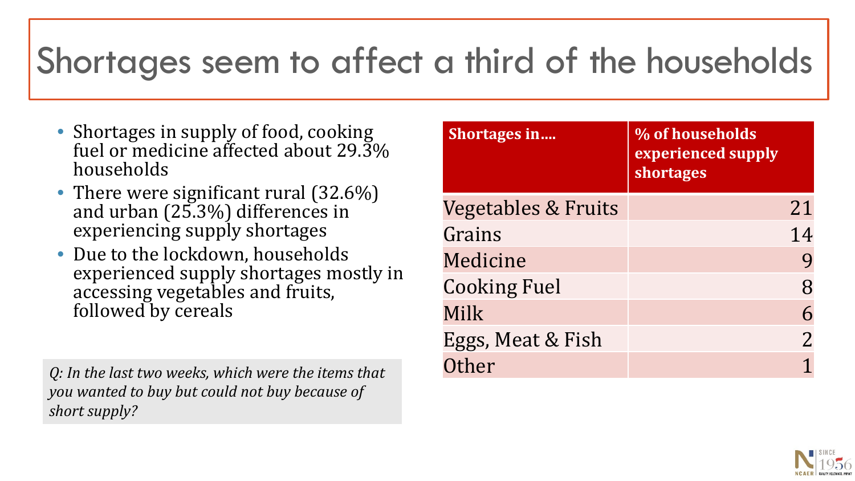### Shortages seem to affect a third of the households

- Shortages in supply of food, cooking fuel or medicine affected about 29.3% households
- There were significant rural (32.6%) and urban (25.3%) differences in experiencing supply shortages
- Due to the lockdown, households experienced supply shortages mostly in accessing vegetables and fruits, followed by cereals

*Q: In the last two weeks, which were the items that you wanted to buy but could not buy because of short supply?* 

| Shortages in                   | % of households<br>experienced supply<br>shortages |
|--------------------------------|----------------------------------------------------|
| <b>Vegetables &amp; Fruits</b> | 21                                                 |
| Grains                         | 14                                                 |
| Medicine                       |                                                    |
| <b>Cooking Fuel</b>            | 8                                                  |
| Milk                           |                                                    |
| Eggs, Meat & Fish              | $\overline{2}$                                     |
| Other                          |                                                    |

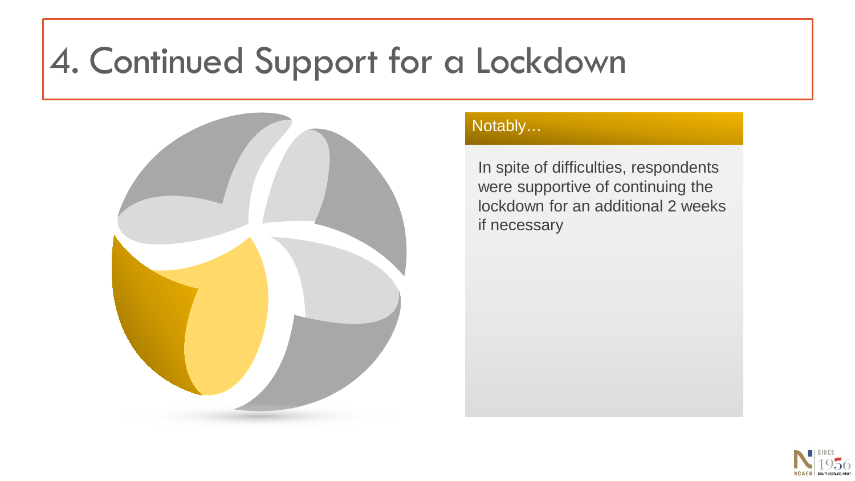### 4. Continued Support for a Lockdown



#### Notably…

In spite of difficulties, respondents were supportive of continuing the lockdown for an additional 2 weeks if necessary

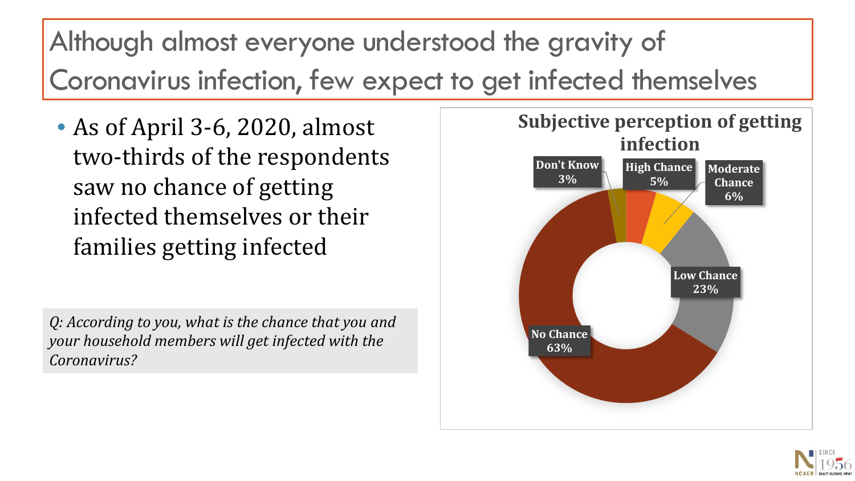Although almost everyone understood the gravity of Coronavirus infection, few expect to get infected themselves

• As of April 3-6, 2020, almost two-thirds of the respondents saw no chance of getting infected themselves or their families getting infected

*Q: According to you, what is the chance that you and your household members will get infected with the Coronavirus?* 



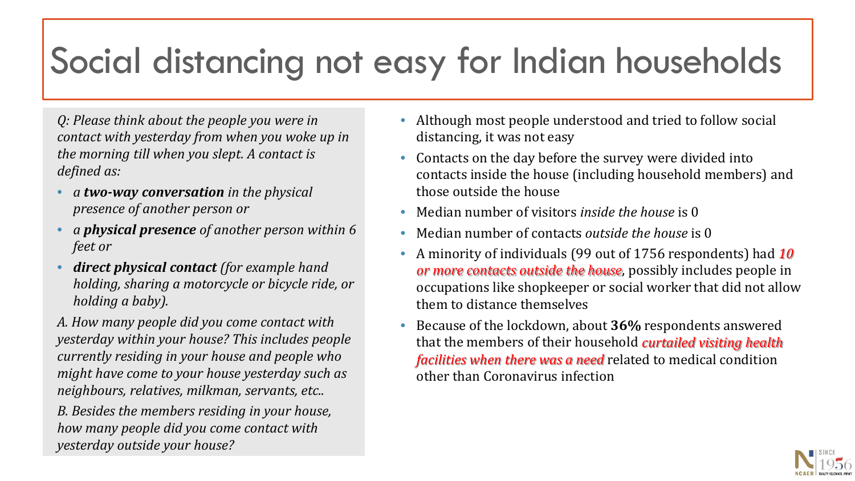## Social distancing not easy for Indian households

*Q: Please think about the people you were in contact with yesterday from when you woke up in the morning till when you slept. A contact is defined as:* 

- *a two-way conversation in the physical presence of another person or*
- *a physical presence of another person within 6 feet or*
- *direct physical contact (for example hand holding, sharing a motorcycle or bicycle ride, or holding a baby).*

*A. How many people did you come contact with yesterday within your house? This includes people currently residing in your house and people who might have come to your house yesterday such as neighbours, relatives, milkman, servants, etc..*

*B. Besides the members residing in your house, how many people did you come contact with yesterday outside your house?* 

- Although most people understood and tried to follow social distancing, it was not easy
- Contacts on the day before the survey were divided into contacts inside the house (including household members) and those outside the house
- Median number of visitors *inside the house* is 0
- Median number of contacts *outside the house* is 0
- A minority of individuals (99 out of 1756 respondents) had *10 or more contacts outside the house*, possibly includes people in occupations like shopkeeper or social worker that did not allow them to distance themselves
- Because of the lockdown, about **36%** respondents answered that the members of their household *curtailed visiting health facilities when there was a need* related to medical condition other than Coronavirus infection

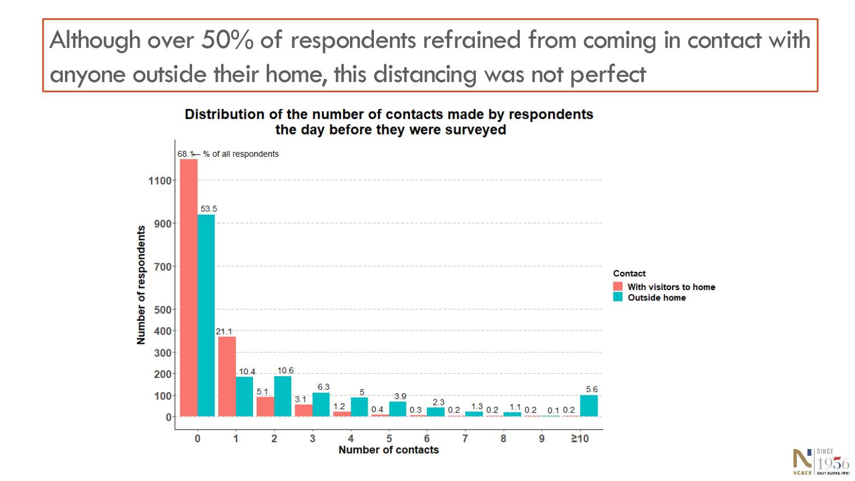Although over 50% of respondents refrained from coming in contact with anyone outside their home, this distancing was not perfect

#### Distribution of the number of contacts made by respondents the day before they were surveyed



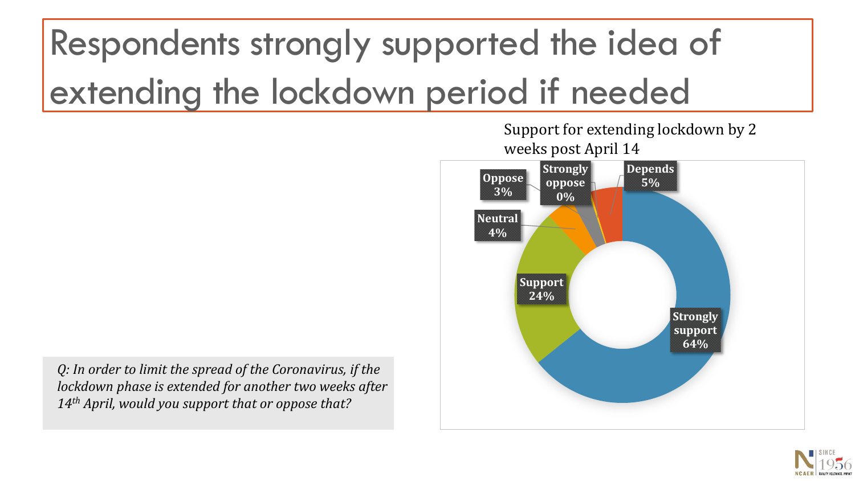# Respondents strongly supported the idea of extending the lockdown period if needed

**Strongly support 64% Support 24% Neutral 4% Oppose 3% Strongly oppose 0% Depends 5%** weeks post April 14

Support for extending lockdown by 2

*Q: In order to limit the spread of the Coronavirus, if the lockdown phase is extended for another two weeks after 14th April, would you support that or oppose that?*

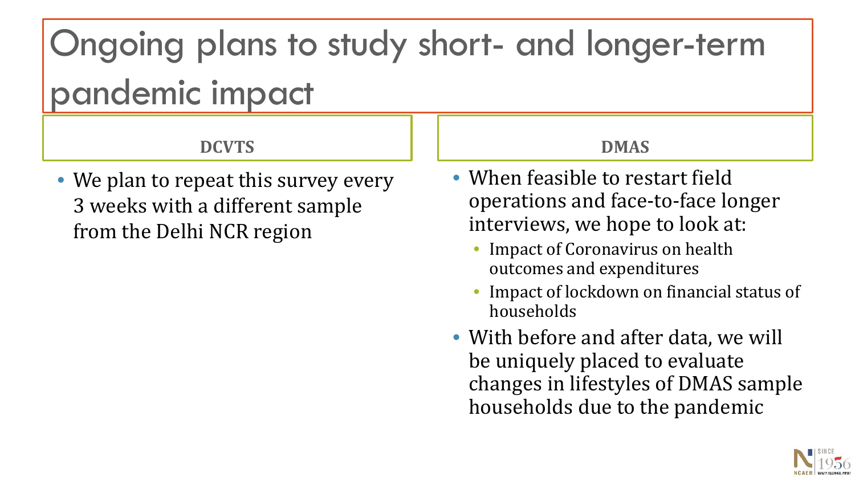Ongoing plans to study short- and longer-term pandemic impact

**DCVTS**

• We plan to repeat this survey every 3 weeks with a different sample from the Delhi NCR region

**DMAS**

- When feasible to restart field operations and face-to-face longer interviews, we hope to look at:
	- Impact of Coronavirus on health outcomes and expenditures
	- Impact of lockdown on financial status of households
- With before and after data, we will be uniquely placed to evaluate changes in lifestyles of DMAS sample households due to the pandemic

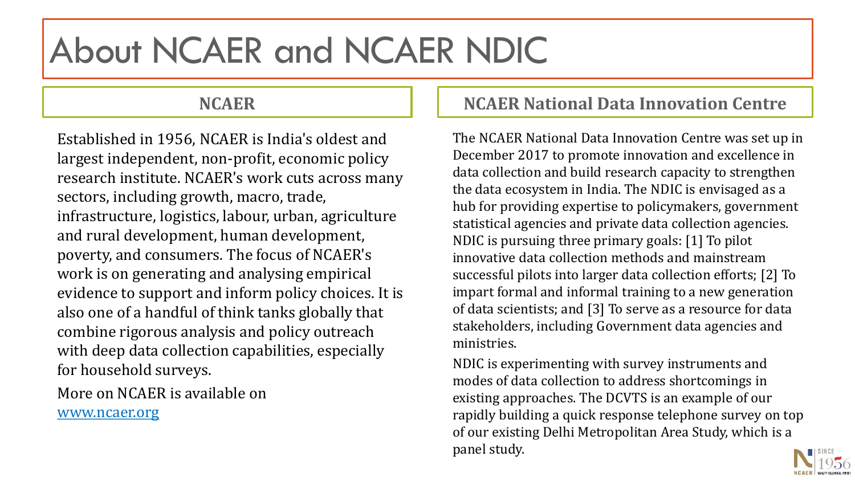### About NCAER and NCAER NDIC

#### **NCAER**

Established in 1956, NCAER is India's oldest and largest independent, non-profit, economic policy research institute. NCAER's work cuts across many sectors, including growth, macro, trade, infrastructure, logistics, labour, urban, agriculture and rural development, human development, poverty, and consumers. The focus of NCAER's work is on generating and analysing empirical evidence to support and inform policy choices. It is also one of a handful of think tanks globally that combine rigorous analysis and policy outreach with deep data collection capabilities, especially for household surveys.

More on NCAER is available on

www.ncaer.org

#### **NCAER National Data Innovation Centre**

The NCAER National Data Innovation Centre was set up in December 2017 to promote innovation and excellence in data collection and build research capacity to strengthen the data ecosystem in India. The NDIC is envisaged as a hub for providing expertise to policymakers, government statistical agencies and private data collection agencies. NDIC is pursuing three primary goals: [1] To pilot innovative data collection methods and mainstream successful pilots into larger data collection efforts; [2] To impart formal and informal training to a new generation of data scientists; and [3] To serve as a resource for data stakeholders, including Government data agencies and ministries.

NDIC is experimenting with survey instruments and modes of data collection to address shortcomings in existing approaches. The DCVTS is an example of our rapidly building a quick response telephone survey on top of our existing Delhi Metropolitan Area Study, which is a panel study.